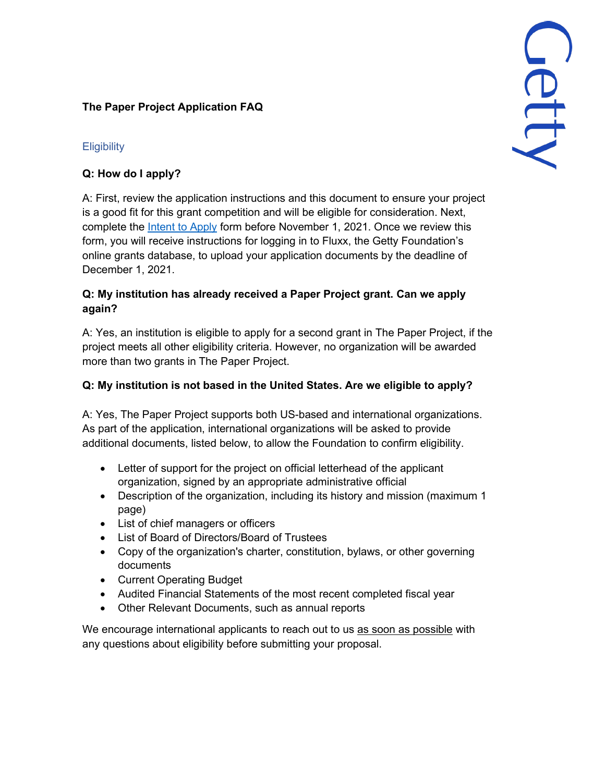## **The Paper Project Application FAQ**

# 

# **Eligibility**

# **Q: How do I apply?**

A: First, review the application instructions and this document to ensure your project is a good fit for this grant competition and will be eligible for consideration. Next, complete the [Intent to Apply](https://docs.google.com/forms/d/1o9QHiC2IWZuyhMdVpnGsbp7iQ16gmVEkSzJxKBSWTfw/edit) form before November 1, 2021. Once we review this form, you will receive instructions for logging in to Fluxx, the Getty Foundation's online grants database, to upload your application documents by the deadline of December 1, 2021.

# **Q: My institution has already received a Paper Project grant. Can we apply again?**

A: Yes, an institution is eligible to apply for a second grant in The Paper Project, if the project meets all other eligibility criteria. However, no organization will be awarded more than two grants in The Paper Project.

# **Q: My institution is not based in the United States. Are we eligible to apply?**

A: Yes, The Paper Project supports both US-based and international organizations. As part of the application, international organizations will be asked to provide additional documents, listed below, to allow the Foundation to confirm eligibility.

- Letter of support for the project on official letterhead of the applicant organization, signed by an appropriate administrative official
- Description of the organization, including its history and mission (maximum 1) page)
- List of chief managers or officers
- List of Board of Directors/Board of Trustees
- Copy of the organization's charter, constitution, bylaws, or other governing documents
- Current Operating Budget
- Audited Financial Statements of the most recent completed fiscal year
- Other Relevant Documents, such as annual reports

We encourage international applicants to reach out to us as soon as possible with any questions about eligibility before submitting your proposal.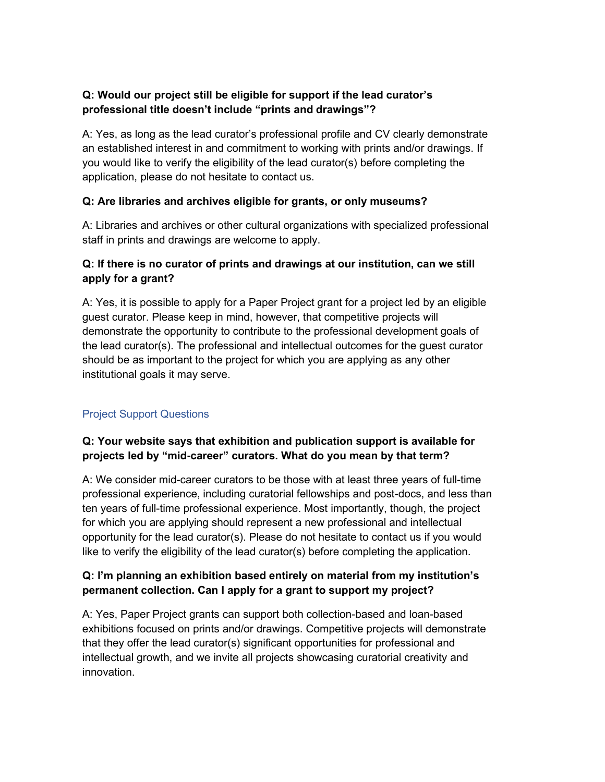## **Q: Would our project still be eligible for support if the lead curator's professional title doesn't include "prints and drawings"?**

A: Yes, as long as the lead curator's professional profile and CV clearly demonstrate an established interest in and commitment to working with prints and/or drawings. If you would like to verify the eligibility of the lead curator(s) before completing the application, please do not hesitate to contact us.

#### **Q: Are libraries and archives eligible for grants, or only museums?**

A: Libraries and archives or other cultural organizations with specialized professional staff in prints and drawings are welcome to apply.

## **Q: If there is no curator of prints and drawings at our institution, can we still apply for a grant?**

A: Yes, it is possible to apply for a Paper Project grant for a project led by an eligible guest curator. Please keep in mind, however, that competitive projects will demonstrate the opportunity to contribute to the professional development goals of the lead curator(s). The professional and intellectual outcomes for the guest curator should be as important to the project for which you are applying as any other institutional goals it may serve.

# Project Support Questions

## **Q: Your website says that exhibition and publication support is available for projects led by "mid-career" curators. What do you mean by that term?**

A: We consider mid-career curators to be those with at least three years of full-time professional experience, including curatorial fellowships and post-docs, and less than ten years of full-time professional experience. Most importantly, though, the project for which you are applying should represent a new professional and intellectual opportunity for the lead curator(s). Please do not hesitate to contact us if you would like to verify the eligibility of the lead curator(s) before completing the application.

#### **Q: I'm planning an exhibition based entirely on material from my institution's permanent collection. Can I apply for a grant to support my project?**

A: Yes, Paper Project grants can support both collection-based and loan-based exhibitions focused on prints and/or drawings. Competitive projects will demonstrate that they offer the lead curator(s) significant opportunities for professional and intellectual growth, and we invite all projects showcasing curatorial creativity and innovation.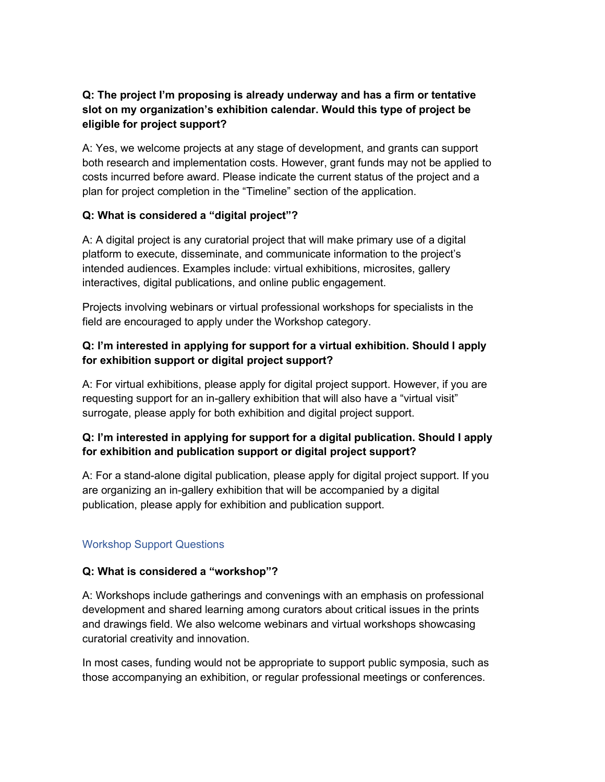## **Q: The project I'm proposing is already underway and has a firm or tentative slot on my organization's exhibition calendar. Would this type of project be eligible for project support?**

A: Yes, we welcome projects at any stage of development, and grants can support both research and implementation costs. However, grant funds may not be applied to costs incurred before award. Please indicate the current status of the project and a plan for project completion in the "Timeline" section of the application.

#### **Q: What is considered a "digital project"?**

A: A digital project is any curatorial project that will make primary use of a digital platform to execute, disseminate, and communicate information to the project's intended audiences. Examples include: virtual exhibitions, microsites, gallery interactives, digital publications, and online public engagement.

Projects involving webinars or virtual professional workshops for specialists in the field are encouraged to apply under the Workshop category.

## **Q: I'm interested in applying for support for a virtual exhibition. Should I apply for exhibition support or digital project support?**

A: For virtual exhibitions, please apply for digital project support. However, if you are requesting support for an in-gallery exhibition that will also have a "virtual visit" surrogate, please apply for both exhibition and digital project support.

## **Q: I'm interested in applying for support for a digital publication. Should I apply for exhibition and publication support or digital project support?**

A: For a stand-alone digital publication, please apply for digital project support. If you are organizing an in-gallery exhibition that will be accompanied by a digital publication, please apply for exhibition and publication support.

# Workshop Support Questions

#### **Q: What is considered a "workshop"?**

A: Workshops include gatherings and convenings with an emphasis on professional development and shared learning among curators about critical issues in the prints and drawings field. We also welcome webinars and virtual workshops showcasing curatorial creativity and innovation.

In most cases, funding would not be appropriate to support public symposia, such as those accompanying an exhibition, or regular professional meetings or conferences.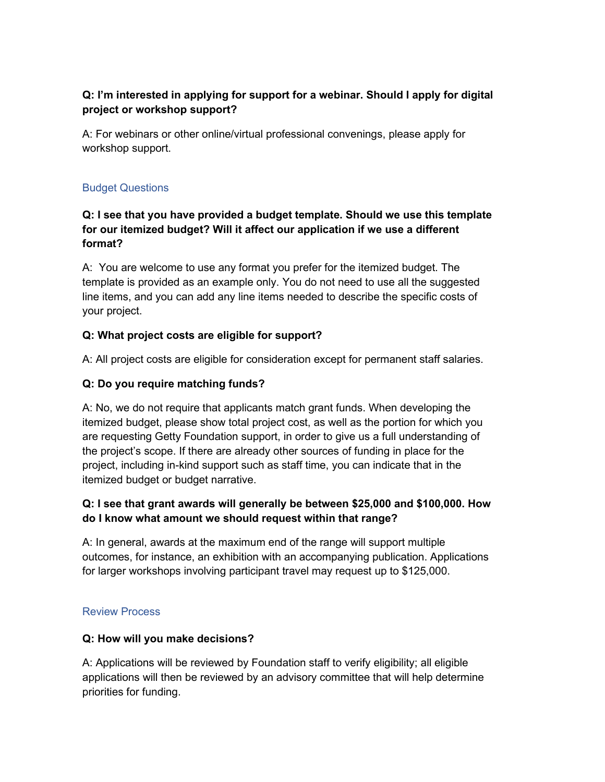## **Q: I'm interested in applying for support for a webinar. Should I apply for digital project or workshop support?**

A: For webinars or other online/virtual professional convenings, please apply for workshop support.

#### Budget Questions

## **Q: I see that you have provided a budget template. Should we use this template for our itemized budget? Will it affect our application if we use a different format?**

A: You are welcome to use any format you prefer for the itemized budget. The template is provided as an example only. You do not need to use all the suggested line items, and you can add any line items needed to describe the specific costs of your project.

#### **Q: What project costs are eligible for support?**

A: All project costs are eligible for consideration except for permanent staff salaries.

#### **Q: Do you require matching funds?**

A: No, we do not require that applicants match grant funds. When developing the itemized budget, please show total project cost, as well as the portion for which you are requesting Getty Foundation support, in order to give us a full understanding of the project's scope. If there are already other sources of funding in place for the project, including in-kind support such as staff time, you can indicate that in the itemized budget or budget narrative.

#### **Q: I see that grant awards will generally be between \$25,000 and \$100,000. How do I know what amount we should request within that range?**

A: In general, awards at the maximum end of the range will support multiple outcomes, for instance, an exhibition with an accompanying publication. Applications for larger workshops involving participant travel may request up to \$125,000.

#### Review Process

#### **Q: How will you make decisions?**

A: Applications will be reviewed by Foundation staff to verify eligibility; all eligible applications will then be reviewed by an advisory committee that will help determine priorities for funding.